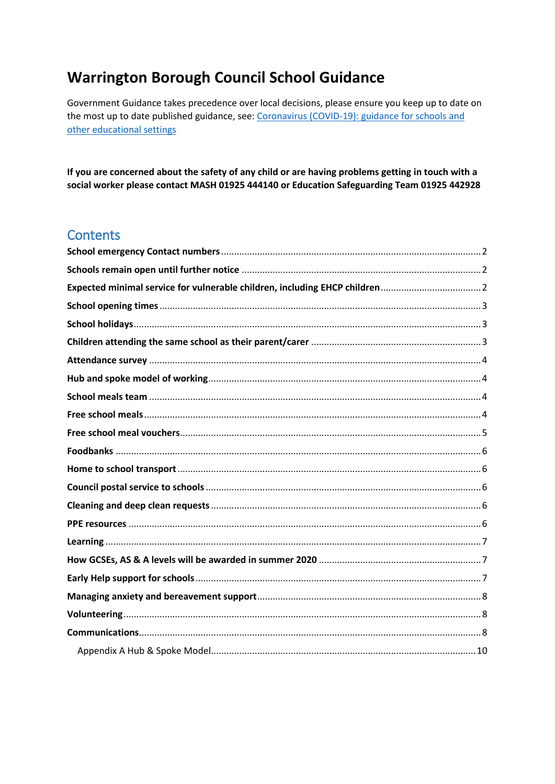# **Warrington Borough Council School Guidance**

Government Guidance takes precedence over local decisions, please ensure you keep up to date on the most up to date published guidance, see: Coronavirus (COVID-19): guidance for schools and other educational settings

If you are concerned about the safety of any child or are having problems getting in touch with a social worker please contact MASH 01925 444140 or Education Safeguarding Team 01925 442928

#### **Contents**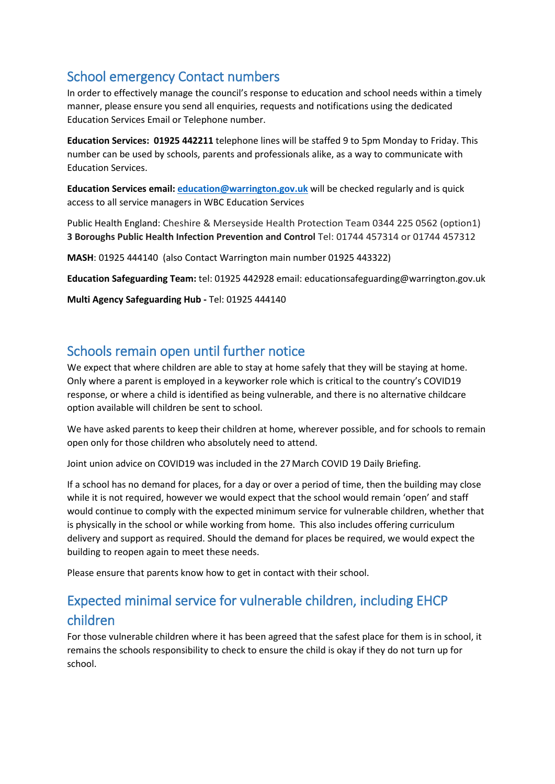# <span id="page-1-0"></span>School emergency Contact numbers

In order to effectively manage the council's response to education and school needs within a timely manner, please ensure you send all enquiries, requests and notifications using the dedicated Education Services Email or Telephone number.

**Education Services: 01925 442211** telephone lines will be staffed 9 to 5pm Monday to Friday. This number can be used by schools, parents and professionals alike, as a way to communicate with Education Services.

**Education Services email[: education@warrington.gov.uk](mailto:education@warrington.gov.uk)** will be checked regularly and is quick access to all service managers in WBC Education Services

Public Health England: Cheshire & Merseyside Health Protection Team 0344 225 0562 (option1) **3 Boroughs Public Health Infection Prevention and Control** Tel: 01744 457314 or 01744 457312

**MASH**: 01925 444140 (also Contact Warrington main number 01925 443322)

**Education Safeguarding Team:** tel: 01925 442928 email: educationsafeguarding@warrington.gov.uk

**Multi Agency Safeguarding Hub -** Tel: 01925 444140

### <span id="page-1-1"></span>Schools remain open until further notice

We expect that where children are able to stay at home safely that they will be staying at home. Only where a parent is employed in a keyworker role which is critical to the country's COVID19 response, or where a child is identified as being vulnerable, and there is no alternative childcare option available will children be sent to school.

We have asked parents to keep their children at home, wherever possible, and for schools to remain open only for those children who absolutely need to attend.

Joint union advice on COVID19 was included in the 27March COVID 19 Daily Briefing.

If a school has no demand for places, for a day or over a period of time, then the building may close while it is not required, however we would expect that the school would remain 'open' and staff would continue to comply with the expected minimum service for vulnerable children, whether that is physically in the school or while working from home. This also includes offering curriculum delivery and support as required. Should the demand for places be required, we would expect the building to reopen again to meet these needs.

Please ensure that parents know how to get in contact with their school.

# <span id="page-1-2"></span>Expected minimal service for vulnerable children, including EHCP children

For those vulnerable children where it has been agreed that the safest place for them is in school, it remains the schools responsibility to check to ensure the child is okay if they do not turn up for school.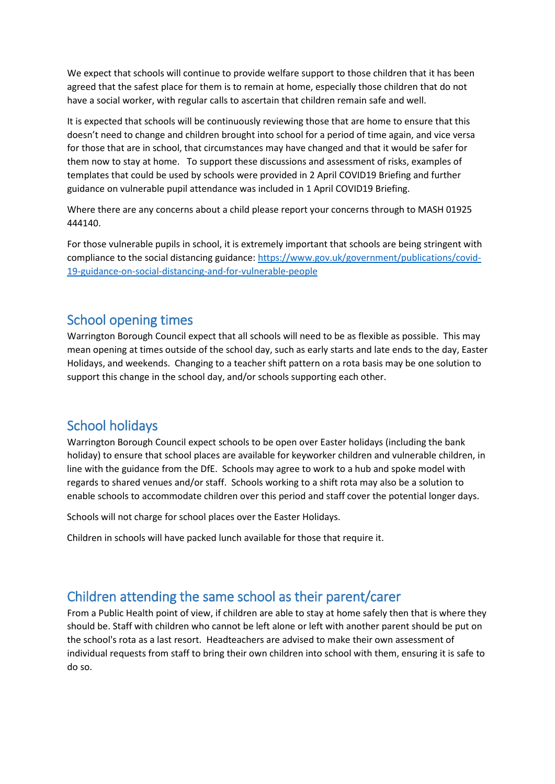We expect that schools will continue to provide welfare support to those children that it has been agreed that the safest place for them is to remain at home, especially those children that do not have a social worker, with regular calls to ascertain that children remain safe and well.

It is expected that schools will be continuously reviewing those that are home to ensure that this doesn't need to change and children brought into school for a period of time again, and vice versa for those that are in school, that circumstances may have changed and that it would be safer for them now to stay at home. To support these discussions and assessment of risks, examples of templates that could be used by schools were provided in 2 April COVID19 Briefing and further guidance on vulnerable pupil attendance was included in 1 April COVID19 Briefing.

Where there are any concerns about a child please report your concerns through to MASH 01925 444140.

For those vulnerable pupils in school, it is extremely important that schools are being stringent with compliance to the social distancing guidance[: https://www.gov.uk/government/publications/covid-](https://www.gov.uk/government/publications/covid-19-guidance-on-social-distancing-and-for-vulnerable-people)[19-guidance-on-social-distancing-and-for-vulnerable-people](https://www.gov.uk/government/publications/covid-19-guidance-on-social-distancing-and-for-vulnerable-people)

### <span id="page-2-0"></span>School opening times

Warrington Borough Council expect that all schools will need to be as flexible as possible. This may mean opening at times outside of the school day, such as early starts and late ends to the day, Easter Holidays, and weekends. Changing to a teacher shift pattern on a rota basis may be one solution to support this change in the school day, and/or schools supporting each other.

### <span id="page-2-1"></span>School holidays

Warrington Borough Council expect schools to be open over Easter holidays (including the bank holiday) to ensure that school places are available for keyworker children and vulnerable children, in line with the guidance from the DfE. Schools may agree to work to a hub and spoke model with regards to shared venues and/or staff. Schools working to a shift rota may also be a solution to enable schools to accommodate children over this period and staff cover the potential longer days.

Schools will not charge for school places over the Easter Holidays.

Children in schools will have packed lunch available for those that require it.

### <span id="page-2-2"></span>Children attending the same school as their parent/carer

From a Public Health point of view, if children are able to stay at home safely then that is where they should be. Staff with children who cannot be left alone or left with another parent should be put on the school's rota as a last resort. Headteachers are advised to make their own assessment of individual requests from staff to bring their own children into school with them, ensuring it is safe to do so.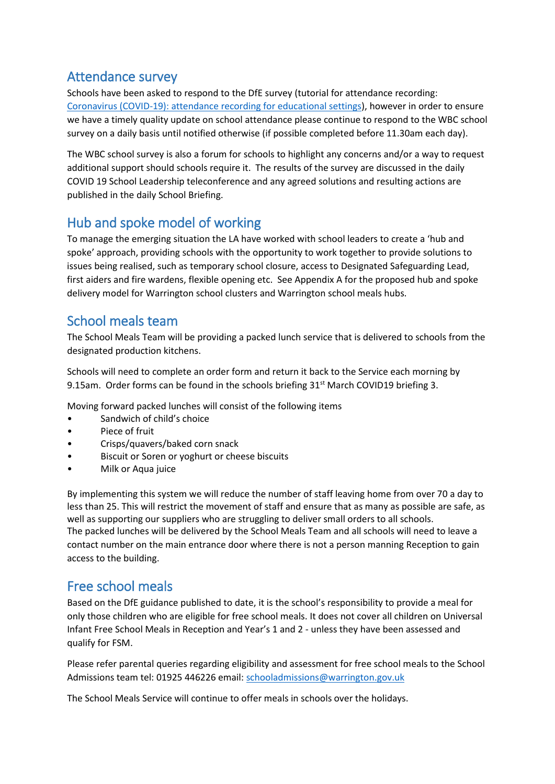### <span id="page-3-0"></span>Attendance survey

Schools have been asked to respond to the DfE survey (tutorial for attendance recording: [Coronavirus \(COVID-19\): attendance recording for educational settings\)](https://www.gov.uk/government/publications/coronavirus-covid-19-attendance-recording-for-educational-settings?utm_source=a7a91f31-9435-4c76-a874-adcb4f3877f3&utm_medium=email&utm_campaign=govuk-notifications&utm_content=immediate), however in order to ensure we have a timely quality update on school attendance please continue to respond to the WBC school survey on a daily basis until notified otherwise (if possible completed before 11.30am each day).

The WBC school survey is also a forum for schools to highlight any concerns and/or a way to request additional support should schools require it. The results of the survey are discussed in the daily COVID 19 School Leadership teleconference and any agreed solutions and resulting actions are published in the daily School Briefing.

### <span id="page-3-1"></span>Hub and spoke model of working

To manage the emerging situation the LA have worked with school leaders to create a 'hub and spoke' approach, providing schools with the opportunity to work together to provide solutions to issues being realised, such as temporary school closure, access to Designated Safeguarding Lead, first aiders and fire wardens, flexible opening etc. See Appendix A for the proposed hub and spoke delivery model for Warrington school clusters and Warrington school meals hubs.

### <span id="page-3-2"></span>School meals team

The School Meals Team will be providing a packed lunch service that is delivered to schools from the designated production kitchens.

Schools will need to complete an order form and return it back to the Service each morning by 9.15am. Order forms can be found in the schools briefing 31<sup>st</sup> March COVID19 briefing 3.

Moving forward packed lunches will consist of the following items

- Sandwich of child's choice
- Piece of fruit
- Crisps/quavers/baked corn snack
- Biscuit or Soren or yoghurt or cheese biscuits
- Milk or Aqua juice

By implementing this system we will reduce the number of staff leaving home from over 70 a day to less than 25. This will restrict the movement of staff and ensure that as many as possible are safe, as well as supporting our suppliers who are struggling to deliver small orders to all schools. The packed lunches will be delivered by the School Meals Team and all schools will need to leave a contact number on the main entrance door where there is not a person manning Reception to gain access to the building.

### <span id="page-3-3"></span>Free school meals

Based on the DfE guidance published to date, it is the school's responsibility to provide a meal for only those children who are eligible for free school meals. It does not cover all children on Universal Infant Free School Meals in Reception and Year's 1 and 2 - unless they have been assessed and qualify for FSM.

Please refer parental queries regarding eligibility and assessment for free school meals to the School Admissions team tel: 01925 446226 email: [schooladmissions@warrington.gov.uk](mailto:schooladmissions@warrington.gov.uk)

The School Meals Service will continue to offer meals in schools over the holidays.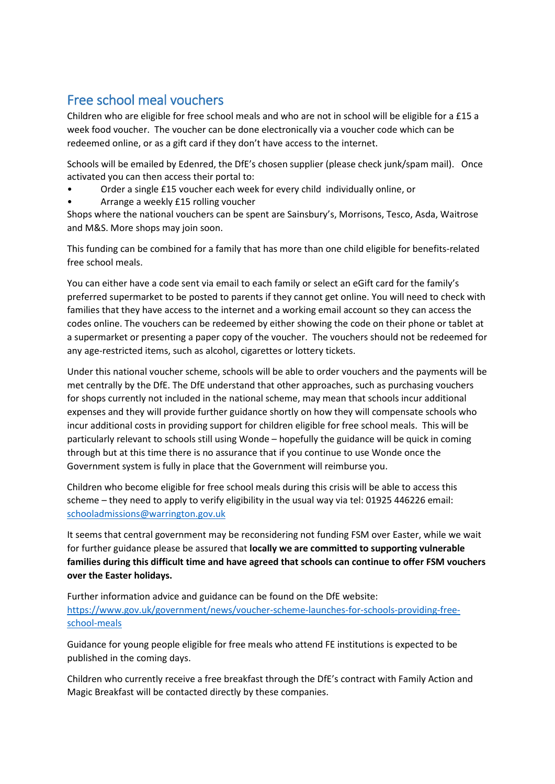### <span id="page-4-0"></span>Free school meal vouchers

Children who are eligible for free school meals and who are not in school will be eligible for a £15 a week food voucher. The voucher can be done electronically via a voucher code which can be redeemed online, or as a gift card if they don't have access to the internet.

Schools will be emailed by Edenred, the DfE's chosen supplier (please check junk/spam mail). Once activated you can then access their portal to:

- Order a single £15 voucher each week for every child individually online, or
- Arrange a weekly £15 rolling voucher

Shops where the national vouchers can be spent are Sainsbury's, Morrisons, Tesco, Asda, Waitrose and M&S. More shops may join soon.

This funding can be combined for a family that has more than one child eligible for benefits-related free school meals.

You can either have a code sent via email to each family or select an eGift card for the family's preferred supermarket to be posted to parents if they cannot get online. You will need to check with families that they have access to the internet and a working email account so they can access the codes online. The vouchers can be redeemed by either showing the code on their phone or tablet at a supermarket or presenting a paper copy of the voucher. The vouchers should not be redeemed for any age-restricted items, such as alcohol, cigarettes or lottery tickets.

Under this national voucher scheme, schools will be able to order vouchers and the payments will be met centrally by the DfE. The DfE understand that other approaches, such as purchasing vouchers for shops currently not included in the national scheme, may mean that schools incur additional expenses and they will provide further guidance shortly on how they will compensate schools who incur additional costs in providing support for children eligible for free school meals. This will be particularly relevant to schools still using Wonde – hopefully the guidance will be quick in coming through but at this time there is no assurance that if you continue to use Wonde once the Government system is fully in place that the Government will reimburse you.

Children who become eligible for free school meals during this crisis will be able to access this scheme – they need to apply to verify eligibility in the usual way via tel: 01925 446226 email: [schooladmissions@warrington.gov.uk](mailto:schooladmissions@warrington.gov.uk)

It seems that central government may be reconsidering not funding FSM over Easter, while we wait for further guidance please be assured that **locally we are committed to supporting vulnerable families during this difficult time and have agreed that schools can continue to offer FSM vouchers over the Easter holidays.**

Further information advice and guidance can be found on the DfE website: [https://www.gov.uk/government/news/voucher-scheme-launches-for-schools-providing-free](https://www.gov.uk/government/news/voucher-scheme-launches-for-schools-providing-free-school-meals)[school-meals](https://www.gov.uk/government/news/voucher-scheme-launches-for-schools-providing-free-school-meals) 

Guidance for young people eligible for free meals who attend FE institutions is expected to be published in the coming days.

Children who currently receive a free breakfast through the DfE's contract with Family Action and Magic Breakfast will be contacted directly by these companies.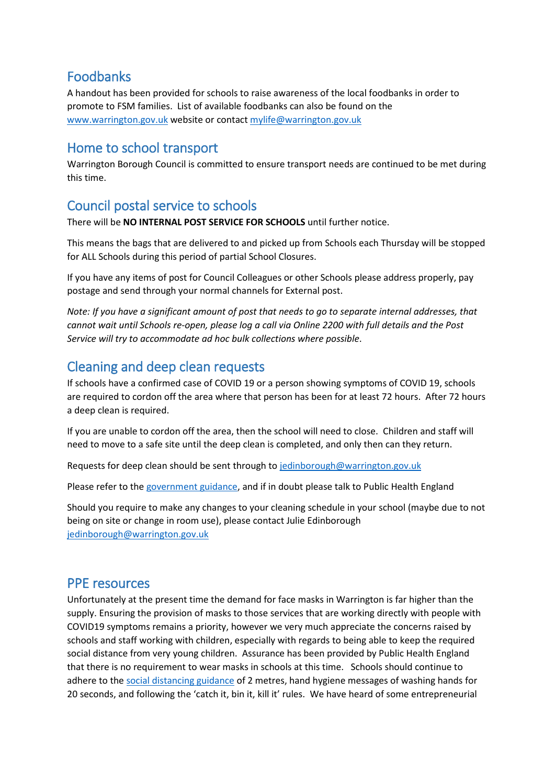### <span id="page-5-0"></span>Foodbanks

A handout has been provided for schools to raise awareness of the local foodbanks in order to promote to FSM families. List of available foodbanks can also be found on the [www.warrington.gov.uk](http://www.warrington.gov.uk/) website or contact [mylife@warrington.gov.uk](mailto:mylife@warrington.gov.uk)

### <span id="page-5-1"></span>Home to school transport

Warrington Borough Council is committed to ensure transport needs are continued to be met during this time.

# <span id="page-5-2"></span>Council postal service to schools

There will be **NO INTERNAL POST SERVICE FOR SCHOOLS** until further notice.

This means the bags that are delivered to and picked up from Schools each Thursday will be stopped for ALL Schools during this period of partial School Closures.

If you have any items of post for Council Colleagues or other Schools please address properly, pay postage and send through your normal channels for External post.

*Note: If you have a significant amount of post that needs to go to separate internal addresses, that cannot wait until Schools re-open, please log a call via Online 2200 with full details and the Post Service will try to accommodate ad hoc bulk collections where possible*.

# <span id="page-5-3"></span>Cleaning and deep clean requests

If schools have a confirmed case of COVID 19 or a person showing symptoms of COVID 19, schools are required to cordon off the area where that person has been for at least 72 hours. After 72 hours a deep clean is required.

If you are unable to cordon off the area, then the school will need to close. Children and staff will need to move to a safe site until the deep clean is completed, and only then can they return.

Requests for deep clean should be sent through to [jedinborough@warrington.gov.uk](mailto:jedinborough@warrington.gov.uk)

Please refer to the [government guidance,](https://www.gov.uk/government/publications/covid-19-decontamination-in-non-healthcare-settings/covid-19-decontamination-in-non-healthcare-settings) and if in doubt please talk to Public Health England

Should you require to make any changes to your cleaning schedule in your school (maybe due to not being on site or change in room use), please contact Julie Edinborough [jedinborough@warrington.gov.uk](mailto:jedinborough@warrington.gov.uk)

### <span id="page-5-4"></span>PPE resources

Unfortunately at the present time the demand for face masks in Warrington is far higher than the supply. Ensuring the provision of masks to those services that are working directly with people with COVID19 symptoms remains a priority, however we very much appreciate the concerns raised by schools and staff working with children, especially with regards to being able to keep the required social distance from very young children. Assurance has been provided by Public Health England that there is no requirement to wear masks in schools at this time. Schools should continue to adhere to th[e social distancing guidance](https://www.gov.uk/government/publications/coronavirus-covid-19-implementing-social-distancing-in-education-and-childcare-settings/coronavirus-covid-19-implementing-social-distancing-in-education-and-childcare-settings) of 2 metres, hand hygiene messages of washing hands for 20 seconds, and following the 'catch it, bin it, kill it' rules. We have heard of some entrepreneurial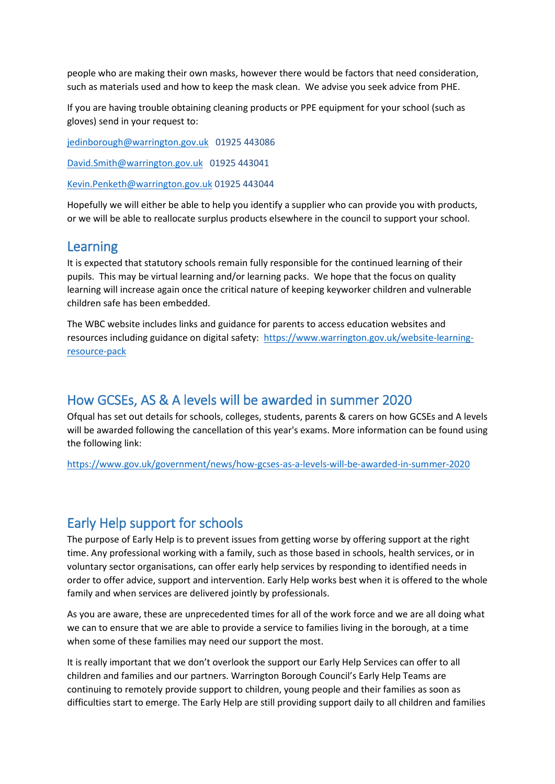people who are making their own masks, however there would be factors that need consideration, such as materials used and how to keep the mask clean. We advise you seek advice from PHE.

If you are having trouble obtaining cleaning products or PPE equipment for your school (such as gloves) send in your request to:

[jedinborough@warrington.gov.uk](mailto:jedinborough@warrington.gov.uk) 01925 443086

[David.Smith@warrington.gov.uk](mailto:David.Smith@warrington.gov.uk) 01925 443041

[Kevin.Penketh@warrington.gov.uk](mailto:Kevin.Penketh@warrington.gov.uk) 01925 443044

Hopefully we will either be able to help you identify a supplier who can provide you with products, or we will be able to reallocate surplus products elsewhere in the council to support your school.

#### <span id="page-6-0"></span>Learning

It is expected that statutory schools remain fully responsible for the continued learning of their pupils. This may be virtual learning and/or learning packs. We hope that the focus on quality learning will increase again once the critical nature of keeping keyworker children and vulnerable children safe has been embedded.

The WBC website includes links and guidance for parents to access education websites and resources including guidance on digital safety: [https://www.warrington.gov.uk/website-learning](https://www.warrington.gov.uk/website-learning-resource-pack)[resource-pack](https://www.warrington.gov.uk/website-learning-resource-pack)

### <span id="page-6-1"></span>How GCSEs, AS & A levels will be awarded in summer 2020

Ofqual has set out details for schools, colleges, students, parents & carers on how GCSEs and A levels will be awarded following the cancellation of this year's exams. More information can be found using the following link:

<https://www.gov.uk/government/news/how-gcses-as-a-levels-will-be-awarded-in-summer-2020>

### <span id="page-6-2"></span>Early Help support for schools

The purpose of Early Help is to prevent issues from getting worse by offering support at the right time. Any professional working with a family, such as those based in schools, health services, or in voluntary sector organisations, can offer early help services by responding to identified needs in order to offer advice, support and intervention. Early Help works best when it is offered to the whole family and when services are delivered jointly by professionals.

As you are aware, these are unprecedented times for all of the work force and we are all doing what we can to ensure that we are able to provide a service to families living in the borough, at a time when some of these families may need our support the most.

It is really important that we don't overlook the support our Early Help Services can offer to all children and families and our partners. Warrington Borough Council's Early Help Teams are continuing to remotely provide support to children, young people and their families as soon as difficulties start to emerge. The Early Help are still providing support daily to all children and families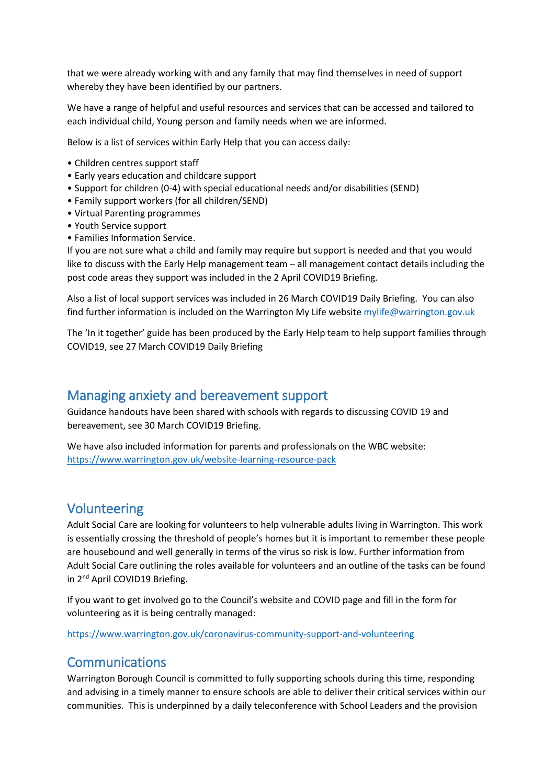that we were already working with and any family that may find themselves in need of support whereby they have been identified by our partners.

We have a range of helpful and useful resources and services that can be accessed and tailored to each individual child, Young person and family needs when we are informed.

Below is a list of services within Early Help that you can access daily:

- Children centres support staff
- Early years education and childcare support
- Support for children (0-4) with special educational needs and/or disabilities (SEND)
- Family support workers (for all children/SEND)
- Virtual Parenting programmes
- Youth Service support
- Families Information Service.

If you are not sure what a child and family may require but support is needed and that you would like to discuss with the Early Help management team – all management contact details including the post code areas they support was included in the 2 April COVID19 Briefing.

Also a list of local support services was included in 26 March COVID19 Daily Briefing. You can also find further information is included on the Warrington My Life website [mylife@warrington.gov.uk](mailto:mylife@warrington.gov.uk)

The 'In it together' guide has been produced by the Early Help team to help support families through COVID19, see 27 March COVID19 Daily Briefing

#### <span id="page-7-0"></span>Managing anxiety and bereavement support

Guidance handouts have been shared with schools with regards to discussing COVID 19 and bereavement, see 30 March COVID19 Briefing.

We have also included information for parents and professionals on the WBC website: <https://www.warrington.gov.uk/website-learning-resource-pack>

### <span id="page-7-1"></span>Volunteering

Adult Social Care are looking for volunteers to help vulnerable adults living in Warrington. This work is essentially crossing the threshold of people's homes but it is important to remember these people are housebound and well generally in terms of the virus so risk is low. Further information from Adult Social Care outlining the roles available for volunteers and an outline of the tasks can be found in 2<sup>nd</sup> April COVID19 Briefing.

If you want to get involved go to the Council's website and COVID page and fill in the form for volunteering as it is being centrally managed:

<https://www.warrington.gov.uk/coronavirus-community-support-and-volunteering>

### <span id="page-7-2"></span>Communications

Warrington Borough Council is committed to fully supporting schools during this time, responding and advising in a timely manner to ensure schools are able to deliver their critical services within our communities. This is underpinned by a daily teleconference with School Leaders and the provision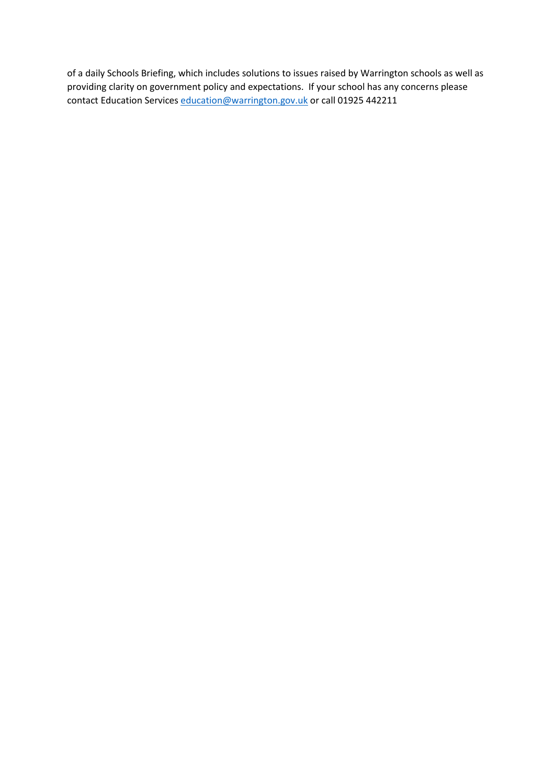of a daily Schools Briefing, which includes solutions to issues raised by Warrington schools as well as providing clarity on government policy and expectations. If your school has any concerns please contact Education Services [education@warrington.gov.uk](mailto:education@warrington.gov.uk) or call 01925 442211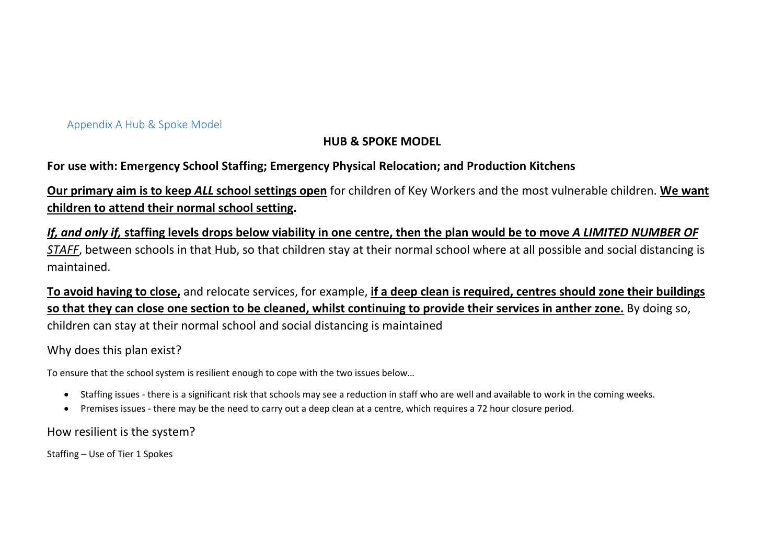#### Appendix A Hub & Spoke Model

### **HUB & SPOKE MODEL**

#### **For use with: Emergency School Staffing; Emergency Physical Relocation; and Production Kitchens**

**Our primary aim is to keep** *ALL* **school settings open** for children of Key Workers and the most vulnerable children. **We want children to attend their normal school setting.**

*If, and only if,* **staffing levels drops below viability in one centre, then the plan would be to move** *A LIMITED NUMBER OF STAFF*, between schools in that Hub, so that children stay at their normal school where at all possible and social distancing is maintained.

**To avoid having to close,** and relocate services, for example, **if a deep clean is required, centres should zone their buildings so that they can close one section to be cleaned, whilst continuing to provide their services in anther zone.** By doing so, children can stay at their normal school and social distancing is maintained

#### <span id="page-9-0"></span>Why does this plan exist?

To ensure that the school system is resilient enough to cope with the two issues below…

- Staffing issues there is a significant risk that schools may see a reduction in staff who are well and available to work in the coming weeks.
- Premises issues there may be the need to carry out a deep clean at a centre, which requires a 72 hour closure period.

How resilient is the system?

Staffing – Use of Tier 1 Spokes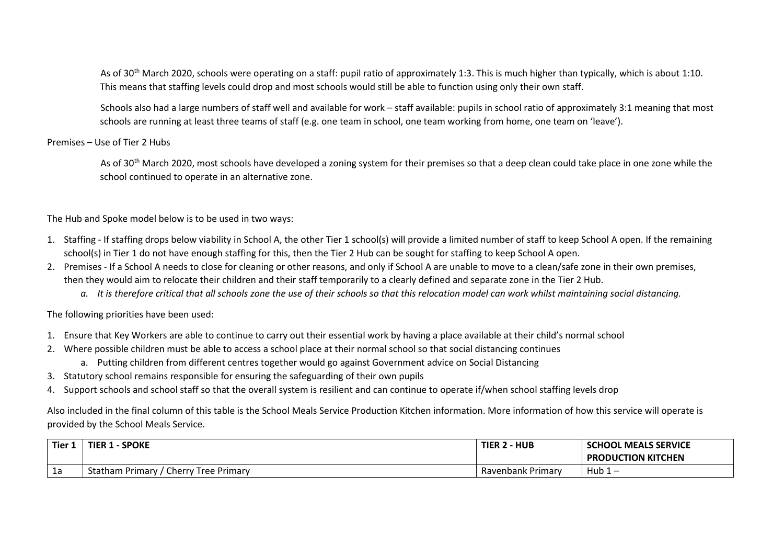As of 30<sup>th</sup> March 2020, schools were operating on a staff: pupil ratio of approximately 1:3. This is much higher than typically, which is about 1:10. This means that staffing levels could drop and most schools would still be able to function using only their own staff.

Schools also had a large numbers of staff well and available for work – staff available: pupils in school ratio of approximately 3:1 meaning that most schools are running at least three teams of staff (e.g. one team in school, one team working from home, one team on 'leave').

#### Premises – Use of Tier 2 Hubs

As of 30<sup>th</sup> March 2020, most schools have developed a zoning system for their premises so that a deep clean could take place in one zone while the school continued to operate in an alternative zone.

The Hub and Spoke model below is to be used in two ways:

- 1. Staffing If staffing drops below viability in School A, the other Tier 1 school(s) will provide a limited number of staff to keep School A open. If the remaining school(s) in Tier 1 do not have enough staffing for this, then the Tier 2 Hub can be sought for staffing to keep School A open.
- 2. Premises If a School A needs to close for cleaning or other reasons, and only if School A are unable to move to a clean/safe zone in their own premises, then they would aim to relocate their children and their staff temporarily to a clearly defined and separate zone in the Tier 2 Hub.
	- *a. It is therefore critical that all schools zone the use of their schools so that this relocation model can work whilst maintaining social distancing.*

The following priorities have been used:

- 1. Ensure that Key Workers are able to continue to carry out their essential work by having a place available at their child's normal school
- 2. Where possible children must be able to access a school place at their normal school so that social distancing continues
	- a. Putting children from different centres together would go against Government advice on Social Distancing
- 3. Statutory school remains responsible for ensuring the safeguarding of their own pupils
- 4. Support schools and school staff so that the overall system is resilient and can continue to operate if/when school staffing levels drop

Also included in the final column of this table is the School Meals Service Production Kitchen information. More information of how this service will operate is provided by the School Meals Service.

| <b>Tier</b> | - SPOKE<br>TIER 1                                | TIER 2 - HUB      | <b>SCHOOL MEALS SERVICE</b> |
|-------------|--------------------------------------------------|-------------------|-----------------------------|
|             |                                                  |                   | <b>PRODUCTION KITCHEN</b>   |
| Τq          | <b>Statham Primary</b><br>Cherry<br>Tree Primary | Ravenbank Primary | Hub <sub>1</sub>            |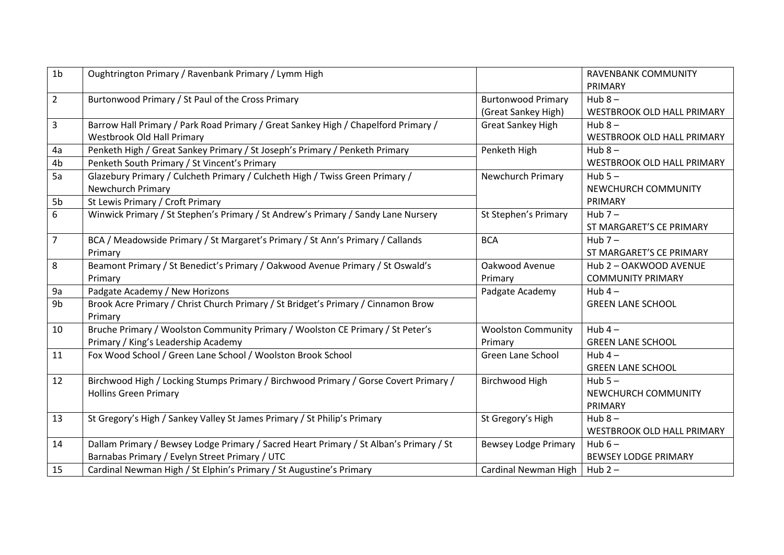| 1 <sub>b</sub> | Oughtrington Primary / Ravenbank Primary / Lymm High                                   |                             | <b>RAVENBANK COMMUNITY</b>        |
|----------------|----------------------------------------------------------------------------------------|-----------------------------|-----------------------------------|
|                |                                                                                        |                             | PRIMARY                           |
| $\overline{2}$ | Burtonwood Primary / St Paul of the Cross Primary                                      | <b>Burtonwood Primary</b>   | Hub $8-$                          |
|                |                                                                                        | (Great Sankey High)         | WESTBROOK OLD HALL PRIMARY        |
| 3              | Barrow Hall Primary / Park Road Primary / Great Sankey High / Chapelford Primary /     | <b>Great Sankey High</b>    | Hub $8-$                          |
|                | <b>Westbrook Old Hall Primary</b>                                                      |                             | <b>WESTBROOK OLD HALL PRIMARY</b> |
| 4a             | Penketh High / Great Sankey Primary / St Joseph's Primary / Penketh Primary            | Penketh High                | Hub $8-$                          |
| 4b             | Penketh South Primary / St Vincent's Primary                                           |                             | WESTBROOK OLD HALL PRIMARY        |
| 5a             | Glazebury Primary / Culcheth Primary / Culcheth High / Twiss Green Primary /           | Newchurch Primary           | Hub $5-$                          |
|                | Newchurch Primary                                                                      |                             | NEWCHURCH COMMUNITY               |
| 5b             | St Lewis Primary / Croft Primary                                                       |                             | PRIMARY                           |
| 6              | Winwick Primary / St Stephen's Primary / St Andrew's Primary / Sandy Lane Nursery      | St Stephen's Primary        | Hub $7-$                          |
|                |                                                                                        |                             | ST MARGARET'S CE PRIMARY          |
| $\overline{7}$ | BCA / Meadowside Primary / St Margaret's Primary / St Ann's Primary / Callands         | <b>BCA</b>                  | Hub $7-$                          |
|                | Primary                                                                                |                             | ST MARGARET'S CE PRIMARY          |
| 8              | Beamont Primary / St Benedict's Primary / Oakwood Avenue Primary / St Oswald's         | Oakwood Avenue              | Hub 2 - OAKWOOD AVENUE            |
|                | Primary                                                                                | Primary                     | <b>COMMUNITY PRIMARY</b>          |
| 9a             | Padgate Academy / New Horizons                                                         | Padgate Academy             | Hub $4-$                          |
| 9 <sub>b</sub> | Brook Acre Primary / Christ Church Primary / St Bridget's Primary / Cinnamon Brow      |                             | <b>GREEN LANE SCHOOL</b>          |
|                | Primary                                                                                |                             |                                   |
| 10             | Bruche Primary / Woolston Community Primary / Woolston CE Primary / St Peter's         | <b>Woolston Community</b>   | Hub $4-$                          |
|                | Primary / King's Leadership Academy                                                    | Primary                     | <b>GREEN LANE SCHOOL</b>          |
| 11             | Fox Wood School / Green Lane School / Woolston Brook School                            | Green Lane School           | Hub $4-$                          |
|                |                                                                                        |                             | <b>GREEN LANE SCHOOL</b>          |
| 12             | Birchwood High / Locking Stumps Primary / Birchwood Primary / Gorse Covert Primary /   | Birchwood High              | Hub $5-$                          |
|                | <b>Hollins Green Primary</b>                                                           |                             | NEWCHURCH COMMUNITY               |
|                |                                                                                        |                             | PRIMARY                           |
| 13             | St Gregory's High / Sankey Valley St James Primary / St Philip's Primary               | St Gregory's High           | Hub $8-$                          |
|                |                                                                                        |                             | <b>WESTBROOK OLD HALL PRIMARY</b> |
| 14             | Dallam Primary / Bewsey Lodge Primary / Sacred Heart Primary / St Alban's Primary / St | <b>Bewsey Lodge Primary</b> | Hub $6-$                          |
|                | Barnabas Primary / Evelyn Street Primary / UTC                                         |                             | <b>BEWSEY LODGE PRIMARY</b>       |
| 15             | Cardinal Newman High / St Elphin's Primary / St Augustine's Primary                    | Cardinal Newman High        | Hub $2-$                          |